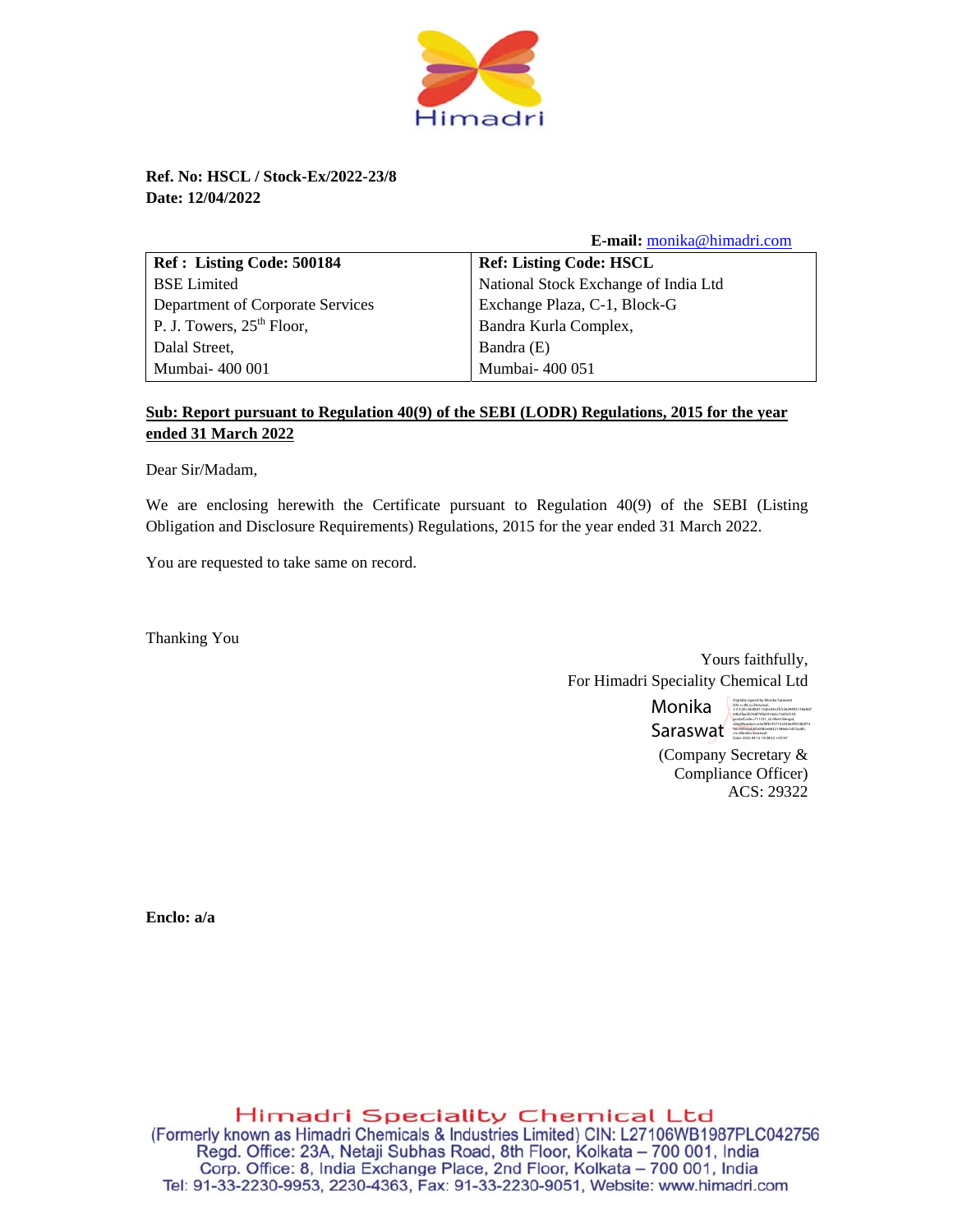

**Ref. No: HSCL / Stock-Ex/2022-23/8 Date: 12/04/2022** 

 **E-mail:** monika@himadri.com

| Ref: Listing Code: 500184        | <b>Ref: Listing Code: HSCL</b>       |
|----------------------------------|--------------------------------------|
| <b>BSE</b> Limited               | National Stock Exchange of India Ltd |
| Department of Corporate Services | Exchange Plaza, C-1, Block-G         |
| P. J. Towers, $25th$ Floor,      | Bandra Kurla Complex,                |
| Dalal Street,                    | Bandra (E)                           |
| Mumbai- 400 001                  | Mumbai- 400 051                      |

## **Sub: Report pursuant to Regulation 40(9) of the SEBI (LODR) Regulations, 2015 for the year ended 31 March 2022**

Dear Sir/Madam,

We are enclosing herewith the Certificate pursuant to Regulation 40(9) of the SEBI (Listing Obligation and Disclosure Requirements) Regulations, 2015 for the year ended 31 March 2022.

You are requested to take same on record.

Thanking You

Yours faithfully, For Himadri Speciality Chemical Ltd

> Monika Saraswat Digitally signed by Monika Saraswat DN: c=IN, o=Personal, 2.5.4.20=6b06d113abc64c2fc52629405130a8d7 64b5fae5b766f76fa0314a5c7ed5d130, postalCode=711101, st=West Bengal, serialNumber=e3ef4fb1f3715333065f97d82f73 9ec44555ebefa0082e68321386eb1d57ae85, Date: 2022.04.12 19:08:52 +05'30'

(Company Secretary & Compliance Officer) ACS: 29322

**Enclo: a/a** 

**Himadri Speciality Chemical Ltd**  (Formerly known as Himadri Chemicals & Industries Limited) CIN: L27106WB1987PLC042756 **Regd.** Office: 23A, Netaji Subhas Road, 8th Floor, Kolkata — 700 001, India Corp. Office: 8, India Exchange Place, 2nd Floor, Kolkata — 700 001, India Tel: 91-33-2230-9953, 2230-4363, Fax: 91-33-2230-9051, Website: www.himadri.com